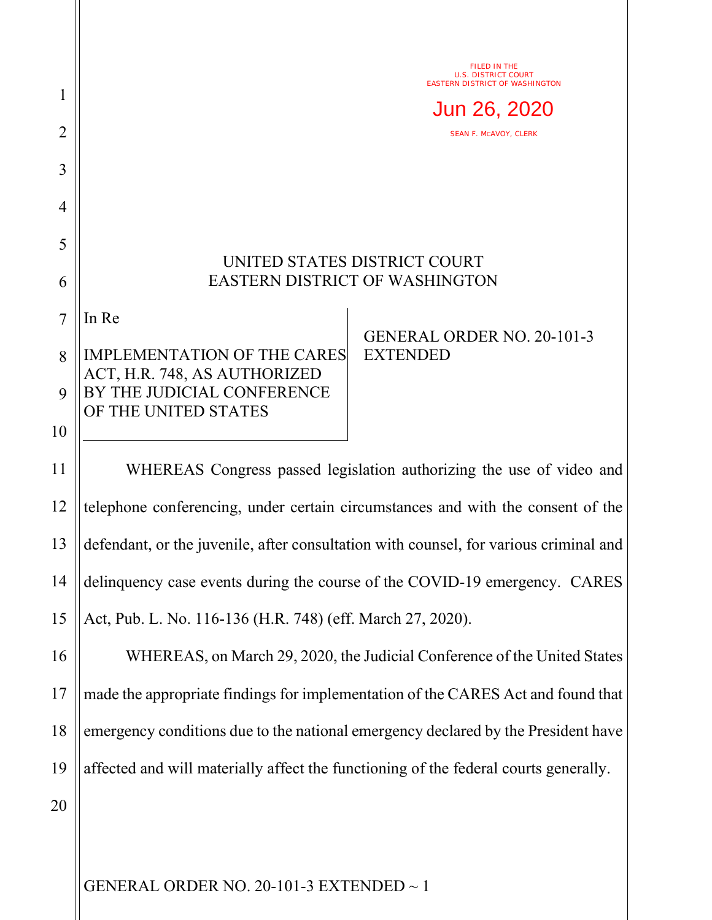|                | FILED IN THE                                                                                                               |
|----------------|----------------------------------------------------------------------------------------------------------------------------|
| 1              | <b>U.S. DISTRICT COURT</b><br>EASTERN DISTRICT OF WASHINGTON                                                               |
| 2              | Jun 26, 2020<br><b>SEAN F. MCAVOY, CLERK</b>                                                                               |
| 3              |                                                                                                                            |
| 4              |                                                                                                                            |
| 5              |                                                                                                                            |
| 6              | UNITED STATES DISTRICT COURT<br><b>EASTERN DISTRICT OF WASHINGTON</b>                                                      |
| $\overline{7}$ | In Re                                                                                                                      |
| 8              | <b>GENERAL ORDER NO. 20-101-3</b><br><b>IMPLEMENTATION OF THE CARES</b><br><b>EXTENDED</b><br>ACT, H.R. 748, AS AUTHORIZED |
| 9              | BY THE JUDICIAL CONFERENCE<br>OF THE UNITED STATES                                                                         |
| 10             |                                                                                                                            |
| 11             | WHEREAS Congress passed legislation authorizing the use of video and                                                       |
| 12             | telephone conferencing, under certain circumstances and with the consent of the                                            |
| 13             | defendant, or the juvenile, after consultation with counsel, for various criminal and                                      |
| 14             | delinquency case events during the course of the COVID-19 emergency. CARES                                                 |
| 15             | Act, Pub. L. No. 116-136 (H.R. 748) (eff. March 27, 2020).                                                                 |
| 16             | WHEREAS, on March 29, 2020, the Judicial Conference of the United States                                                   |
| 17             | made the appropriate findings for implementation of the CARES Act and found that                                           |
| 18             | emergency conditions due to the national emergency declared by the President have                                          |
| 19             | affected and will materially affect the functioning of the federal courts generally.                                       |
| 20             |                                                                                                                            |
|                |                                                                                                                            |
|                | GENERAL ORDER NO. 20-101-3 EXTENDED $\sim$ 1                                                                               |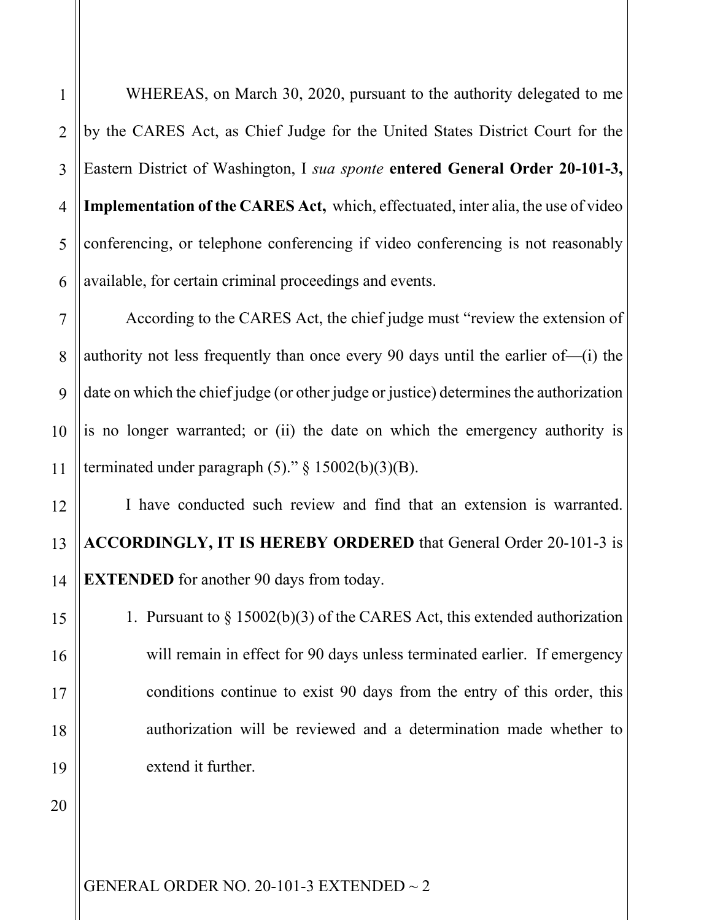WHEREAS, on March 30, 2020, pursuant to the authority delegated to me

by the CARES Act, as Chief Judge for the United States District Court for the Eastern District of Washington, I *sua sponte* **entered General Order 20-101-3, Implementation of the CARES Act,** which, effectuated, inter alia, the use of video conferencing, or telephone conferencing if video conferencing is not reasonably available, for certain criminal proceedings and events.

9 10 According to the CARES Act, the chief judge must "review the extension of authority not less frequently than once every 90 days until the earlier of—(i) the date on which the chief judge (or other judge or justice) determines the authorization is no longer warranted; or (ii) the date on which the emergency authority is terminated under paragraph  $(5)$ ." § 15002(b)(3)(B).

I have conducted such review and find that an extension is warranted. **ACCORDINGLY, IT IS HEREBY ORDERED** that General Order 20-101-3 is **EXTENDED** for another 90 days from today.

1. Pursuant to § 15002(b)(3) of the CARES Act, this extended authorization will remain in effect for 90 days unless terminated earlier. If emergency conditions continue to exist 90 days from the entry of this order, this authorization will be reviewed and a determination made whether to extend it further.

20

GENERAL ORDER NO. 20-101-3 EXTENDED ~ 2

2

3

4

5

6

7

8

11

12

13

14

15

16

17

18

19